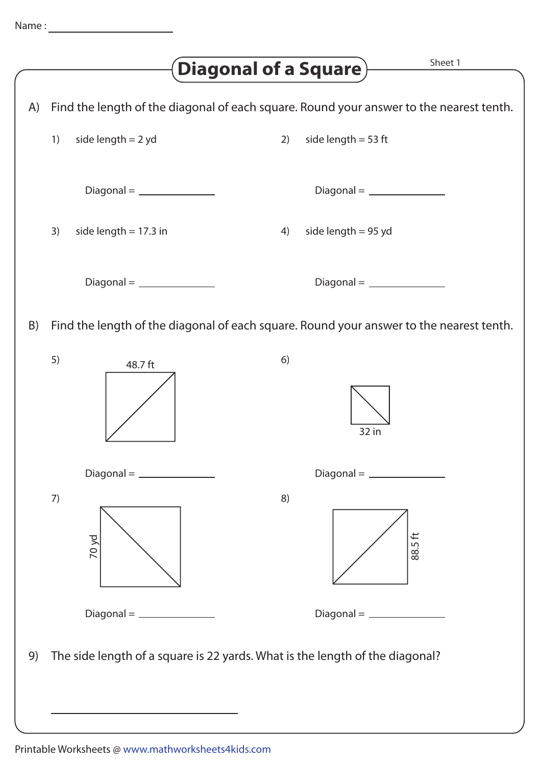